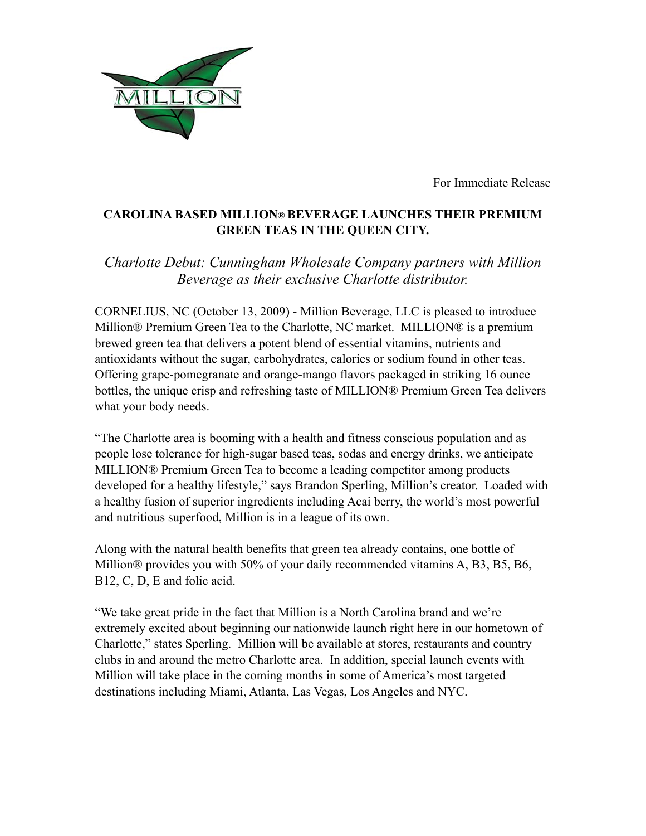

For Immediate Release

## **CAROLINA BASED MILLION® BEVERAGE LAUNCHES THEIR PREMIUM GREEN TEAS IN THE QUEEN CITY.**

## *Charlotte Debut: Cunningham Wholesale Company partners with Million Beverage as their exclusive Charlotte distributor.*

CORNELIUS, NC (October 13, 2009) - Million Beverage, LLC is pleased to introduce Million® Premium Green Tea to the Charlotte, NC market. MILLION® is a premium brewed green tea that delivers a potent blend of essential vitamins, nutrients and antioxidants without the sugar, carbohydrates, calories or sodium found in other teas. Offering grape-pomegranate and orange-mango flavors packaged in striking 16 ounce bottles, the unique crisp and refreshing taste of MILLION® Premium Green Tea delivers what your body needs.

"The Charlotte area is booming with a health and fitness conscious population and as people lose tolerance for high-sugar based teas, sodas and energy drinks, we anticipate MILLION® Premium Green Tea to become a leading competitor among products developed for a healthy lifestyle," says Brandon Sperling, Million's creator. Loaded with a healthy fusion of superior ingredients including Acai berry, the world's most powerful and nutritious superfood, Million is in a league of its own.

Along with the natural health benefits that green tea already contains, one bottle of Million® provides you with 50% of your daily recommended vitamins A, B3, B5, B6, B12, C, D, E and folic acid.

"We take great pride in the fact that Million is a North Carolina brand and we're extremely excited about beginning our nationwide launch right here in our hometown of Charlotte," states Sperling. Million will be available at stores, restaurants and country clubs in and around the metro Charlotte area. In addition, special launch events with Million will take place in the coming months in some of America's most targeted destinations including Miami, Atlanta, Las Vegas, Los Angeles and NYC.